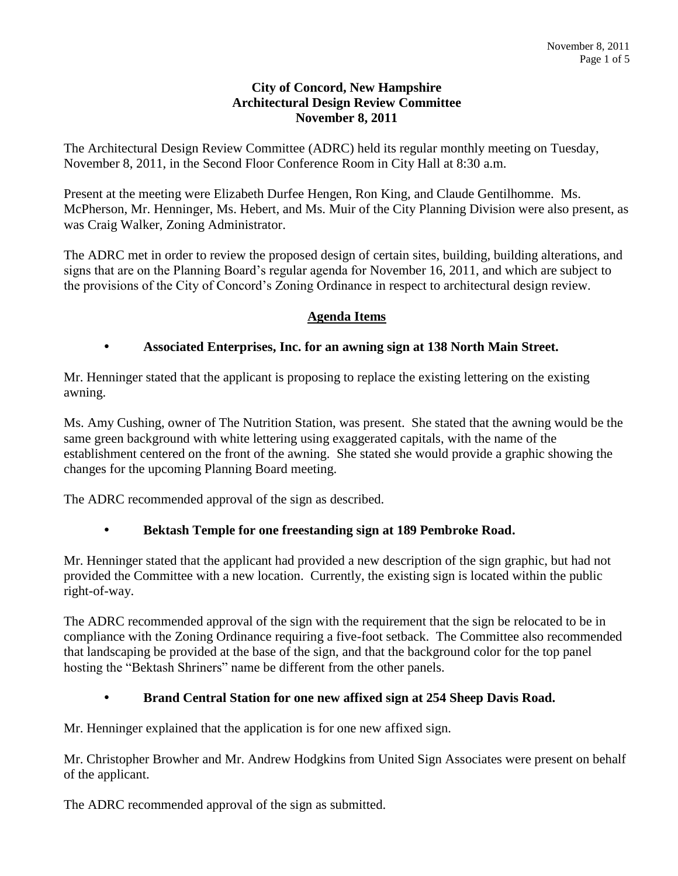### **City of Concord, New Hampshire Architectural Design Review Committee November 8, 2011**

The Architectural Design Review Committee (ADRC) held its regular monthly meeting on Tuesday, November 8, 2011, in the Second Floor Conference Room in City Hall at 8:30 a.m.

Present at the meeting were Elizabeth Durfee Hengen, Ron King, and Claude Gentilhomme. Ms. McPherson, Mr. Henninger, Ms. Hebert, and Ms. Muir of the City Planning Division were also present, as was Craig Walker, Zoning Administrator.

The ADRC met in order to review the proposed design of certain sites, building, building alterations, and signs that are on the Planning Board's regular agenda for November 16, 2011, and which are subject to the provisions of the City of Concord's Zoning Ordinance in respect to architectural design review.

## **Agenda Items**

## **Associated Enterprises, Inc. for an awning sign at 138 North Main Street.**

Mr. Henninger stated that the applicant is proposing to replace the existing lettering on the existing awning.

Ms. Amy Cushing, owner of The Nutrition Station, was present. She stated that the awning would be the same green background with white lettering using exaggerated capitals, with the name of the establishment centered on the front of the awning. She stated she would provide a graphic showing the changes for the upcoming Planning Board meeting.

The ADRC recommended approval of the sign as described.

### **Bektash Temple for one freestanding sign at 189 Pembroke Road.**

Mr. Henninger stated that the applicant had provided a new description of the sign graphic, but had not provided the Committee with a new location. Currently, the existing sign is located within the public right-of-way.

The ADRC recommended approval of the sign with the requirement that the sign be relocated to be in compliance with the Zoning Ordinance requiring a five-foot setback. The Committee also recommended that landscaping be provided at the base of the sign, and that the background color for the top panel hosting the "Bektash Shriners" name be different from the other panels.

### **Brand Central Station for one new affixed sign at 254 Sheep Davis Road.**

Mr. Henninger explained that the application is for one new affixed sign.

Mr. Christopher Browher and Mr. Andrew Hodgkins from United Sign Associates were present on behalf of the applicant.

The ADRC recommended approval of the sign as submitted.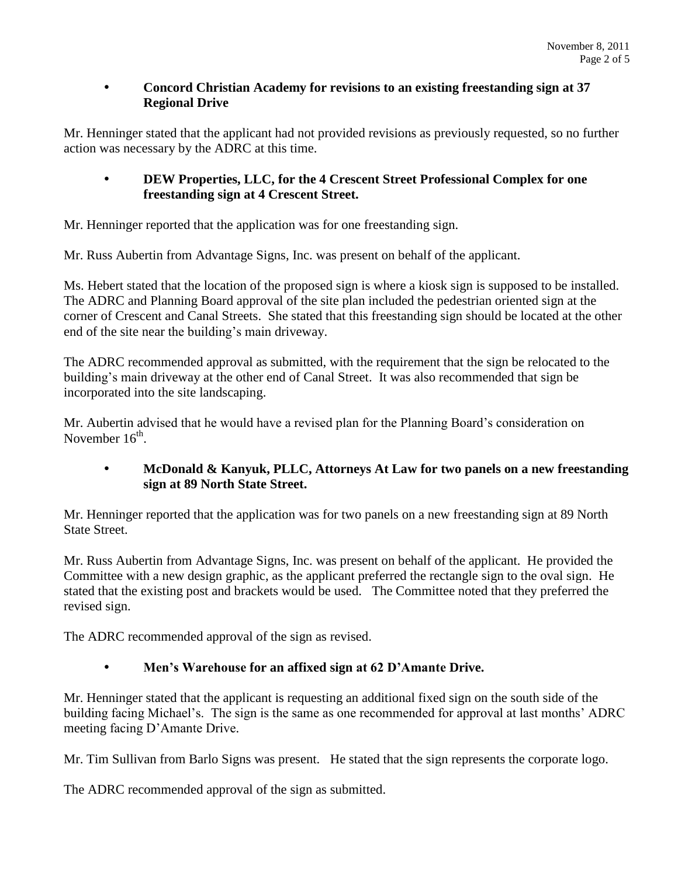### **Concord Christian Academy for revisions to an existing freestanding sign at 37 Regional Drive**

Mr. Henninger stated that the applicant had not provided revisions as previously requested, so no further action was necessary by the ADRC at this time.

## **DEW Properties, LLC, for the 4 Crescent Street Professional Complex for one freestanding sign at 4 Crescent Street.**

Mr. Henninger reported that the application was for one freestanding sign.

Mr. Russ Aubertin from Advantage Signs, Inc. was present on behalf of the applicant.

Ms. Hebert stated that the location of the proposed sign is where a kiosk sign is supposed to be installed. The ADRC and Planning Board approval of the site plan included the pedestrian oriented sign at the corner of Crescent and Canal Streets. She stated that this freestanding sign should be located at the other end of the site near the building's main driveway.

The ADRC recommended approval as submitted, with the requirement that the sign be relocated to the building's main driveway at the other end of Canal Street. It was also recommended that sign be incorporated into the site landscaping.

Mr. Aubertin advised that he would have a revised plan for the Planning Board's consideration on November  $16^{\text{th}}$ .

## **McDonald & Kanyuk, PLLC, Attorneys At Law for two panels on a new freestanding sign at 89 North State Street.**

Mr. Henninger reported that the application was for two panels on a new freestanding sign at 89 North State Street.

Mr. Russ Aubertin from Advantage Signs, Inc. was present on behalf of the applicant. He provided the Committee with a new design graphic, as the applicant preferred the rectangle sign to the oval sign. He stated that the existing post and brackets would be used. The Committee noted that they preferred the revised sign.

The ADRC recommended approval of the sign as revised.

# **Men's Warehouse for an affixed sign at 62 D'Amante Drive.**

Mr. Henninger stated that the applicant is requesting an additional fixed sign on the south side of the building facing Michael's. The sign is the same as one recommended for approval at last months' ADRC meeting facing D'Amante Drive.

Mr. Tim Sullivan from Barlo Signs was present. He stated that the sign represents the corporate logo.

The ADRC recommended approval of the sign as submitted.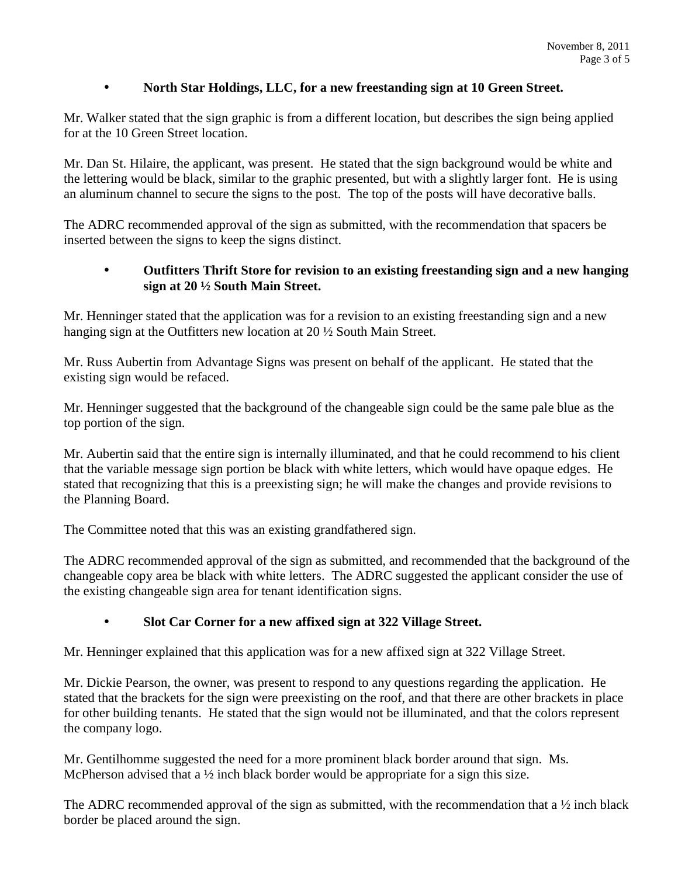## **North Star Holdings, LLC, for a new freestanding sign at 10 Green Street.**

Mr. Walker stated that the sign graphic is from a different location, but describes the sign being applied for at the 10 Green Street location.

Mr. Dan St. Hilaire, the applicant, was present. He stated that the sign background would be white and the lettering would be black, similar to the graphic presented, but with a slightly larger font. He is using an aluminum channel to secure the signs to the post. The top of the posts will have decorative balls.

The ADRC recommended approval of the sign as submitted, with the recommendation that spacers be inserted between the signs to keep the signs distinct.

## **Outfitters Thrift Store for revision to an existing freestanding sign and a new hanging sign at 20 ½ South Main Street.**

Mr. Henninger stated that the application was for a revision to an existing freestanding sign and a new hanging sign at the Outfitters new location at 20 ½ South Main Street.

Mr. Russ Aubertin from Advantage Signs was present on behalf of the applicant. He stated that the existing sign would be refaced.

Mr. Henninger suggested that the background of the changeable sign could be the same pale blue as the top portion of the sign.

Mr. Aubertin said that the entire sign is internally illuminated, and that he could recommend to his client that the variable message sign portion be black with white letters, which would have opaque edges. He stated that recognizing that this is a preexisting sign; he will make the changes and provide revisions to the Planning Board.

The Committee noted that this was an existing grandfathered sign.

The ADRC recommended approval of the sign as submitted, and recommended that the background of the changeable copy area be black with white letters. The ADRC suggested the applicant consider the use of the existing changeable sign area for tenant identification signs.

# **Slot Car Corner for a new affixed sign at 322 Village Street.**

Mr. Henninger explained that this application was for a new affixed sign at 322 Village Street.

Mr. Dickie Pearson, the owner, was present to respond to any questions regarding the application. He stated that the brackets for the sign were preexisting on the roof, and that there are other brackets in place for other building tenants. He stated that the sign would not be illuminated, and that the colors represent the company logo.

Mr. Gentilhomme suggested the need for a more prominent black border around that sign. Ms. McPherson advised that a  $\frac{1}{2}$  inch black border would be appropriate for a sign this size.

The ADRC recommended approval of the sign as submitted, with the recommendation that a <sup>1</sup>/<sub>2</sub> inch black border be placed around the sign.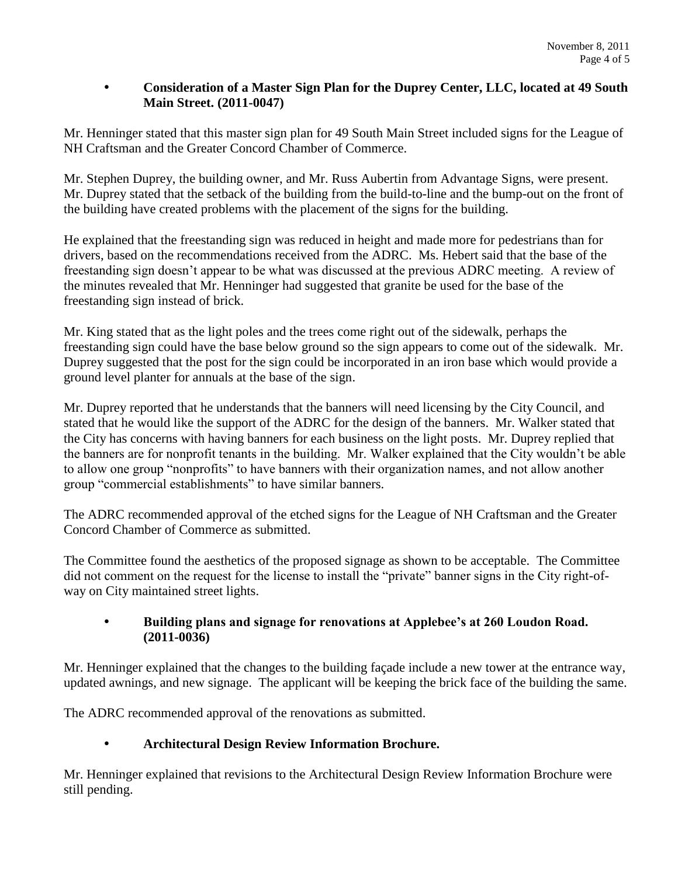## **Consideration of a Master Sign Plan for the Duprey Center, LLC, located at 49 South Main Street. (2011-0047)**

Mr. Henninger stated that this master sign plan for 49 South Main Street included signs for the League of NH Craftsman and the Greater Concord Chamber of Commerce.

Mr. Stephen Duprey, the building owner, and Mr. Russ Aubertin from Advantage Signs, were present. Mr. Duprey stated that the setback of the building from the build-to-line and the bump-out on the front of the building have created problems with the placement of the signs for the building.

He explained that the freestanding sign was reduced in height and made more for pedestrians than for drivers, based on the recommendations received from the ADRC. Ms. Hebert said that the base of the freestanding sign doesn't appear to be what was discussed at the previous ADRC meeting. A review of the minutes revealed that Mr. Henninger had suggested that granite be used for the base of the freestanding sign instead of brick.

Mr. King stated that as the light poles and the trees come right out of the sidewalk, perhaps the freestanding sign could have the base below ground so the sign appears to come out of the sidewalk. Mr. Duprey suggested that the post for the sign could be incorporated in an iron base which would provide a ground level planter for annuals at the base of the sign.

Mr. Duprey reported that he understands that the banners will need licensing by the City Council, and stated that he would like the support of the ADRC for the design of the banners. Mr. Walker stated that the City has concerns with having banners for each business on the light posts. Mr. Duprey replied that the banners are for nonprofit tenants in the building. Mr. Walker explained that the City wouldn't be able to allow one group "nonprofits" to have banners with their organization names, and not allow another group "commercial establishments" to have similar banners.

The ADRC recommended approval of the etched signs for the League of NH Craftsman and the Greater Concord Chamber of Commerce as submitted.

The Committee found the aesthetics of the proposed signage as shown to be acceptable. The Committee did not comment on the request for the license to install the "private" banner signs in the City right-ofway on City maintained street lights.

### **Building plans and signage for renovations at Applebee's at 260 Loudon Road. (2011-0036)**

Mr. Henninger explained that the changes to the building façade include a new tower at the entrance way, updated awnings, and new signage. The applicant will be keeping the brick face of the building the same.

The ADRC recommended approval of the renovations as submitted.

# **Architectural Design Review Information Brochure.**

Mr. Henninger explained that revisions to the Architectural Design Review Information Brochure were still pending.